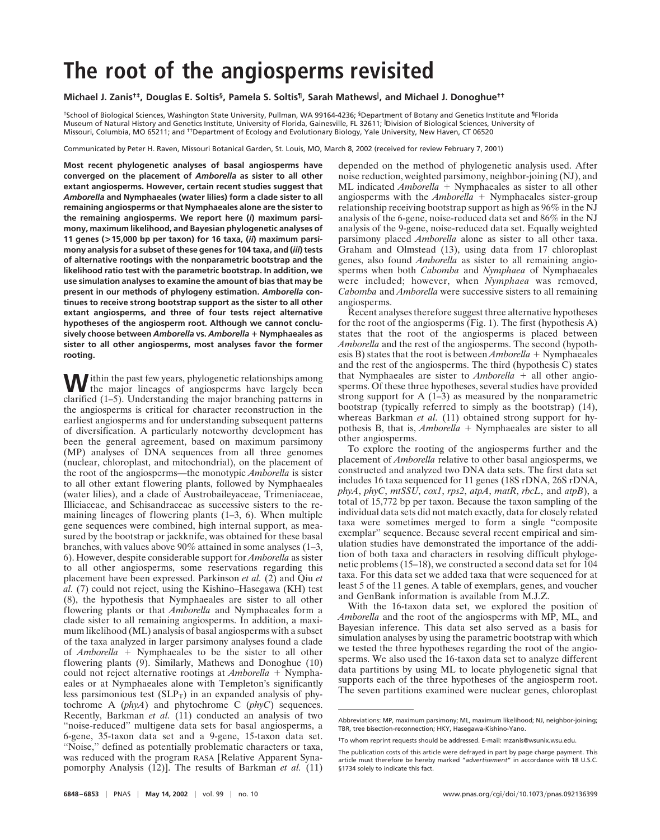## **The root of the angiosperms revisited**

**Michael J. Zanis†‡, Douglas E. Soltis§, Pamela S. Soltis¶, Sarah Mathews , and Michael J. Donoghue††**

†School of Biological Sciences, Washington State University, Pullman, WA 99164-4236; §Department of Botany and Genetics Institute and ¶Florida Museum of Natural History and Genetics Institute, University of Florida, Gainesville, FL 32611; Division of Biological Sciences, University of Missouri, Columbia, MO 65211; and ††Department of Ecology and Evolutionary Biology, Yale University, New Haven, CT 06520

Communicated by Peter H. Raven, Missouri Botanical Garden, St. Louis, MO, March 8, 2002 (received for review February 7, 2001)

**Most recent phylogenetic analyses of basal angiosperms have converged on the placement of** *Amborella* **as sister to all other extant angiosperms. However, certain recent studies suggest that** *Amborella* **and Nymphaeales (water lilies) form a clade sister to all remaining angiosperms or that Nymphaeales alone are the sister to the remaining angiosperms. We report here (***i***) maximum parsimony, maximum likelihood, and Bayesian phylogenetic analyses of 11 genes (>15,000 bp per taxon) for 16 taxa, (***ii***) maximum parsimony analysis for a subset of these genes for 104 taxa, and (***iii***) tests of alternative rootings with the nonparametric bootstrap and the likelihood ratio test with the parametric bootstrap. In addition, we use simulation analyses to examine the amount of bias that may be present in our methods of phylogeny estimation.** *Amborella* **continues to receive strong bootstrap support as the sister to all other extant angiosperms, and three of four tests reject alternative hypotheses of the angiosperm root. Although we cannot conclusively choose between** *Amborella* **vs.** *Amborella* **Nymphaeales as sister to all other angiosperms, most analyses favor the former rooting.**

Within the past few years, phylogenetic relationships among the major lineages of angiosperms have largely been clarified (1–5). Understanding the major branching patterns in the angiosperms is critical for character reconstruction in the earliest angiosperms and for understanding subsequent patterns of diversification. A particularly noteworthy development has been the general agreement, based on maximum parsimony (MP) analyses of DNA sequences from all three genomes (nuclear, chloroplast, and mitochondrial), on the placement of the root of the angiosperms—the monotypic *Amborella* is sister to all other extant flowering plants, followed by Nymphaeales (water lilies), and a clade of Austrobaileyaceae, Trimeniaceae, Illiciaceae, and Schisandraceae as successive sisters to the remaining lineages of flowering plants (1–3, 6). When multiple gene sequences were combined, high internal support, as measured by the bootstrap or jackknife, was obtained for these basal branches, with values above 90% attained in some analyses (1–3, 6). However, despite considerable support for *Amborella* as sister to all other angiosperms, some reservations regarding this placement have been expressed. Parkinson *et al.* (2) and Qiu *et al.* (7) could not reject, using the Kishino–Hasegawa (KH) test (8), the hypothesis that Nymphaeales are sister to all other flowering plants or that *Amborella* and Nymphaeales form a clade sister to all remaining angiosperms. In addition, a maximum likelihood (ML) analysis of basal angiosperms with a subset of the taxa analyzed in larger parsimony analyses found a clade of *Amborella* + Nymphaeales to be the sister to all other flowering plants (9). Similarly, Mathews and Donoghue (10) could not reject alternative rootings at *Amborella* + Nymphaeales or at Nymphaeales alone with Templeton's significantly less parsimonious test  $(SLP_T)$  in an expanded analysis of phytochrome A (*phyA*) and phytochrome C (*phyC*) sequences. Recently, Barkman *et al.* (11) conducted an analysis of two "noise-reduced" multigene data sets for basal angiosperms, a 6-gene, 35-taxon data set and a 9-gene, 15-taxon data set. ''Noise,'' defined as potentially problematic characters or taxa, was reduced with the program RASA [Relative Apparent Synapomorphy Analysis (12)]. The results of Barkman *et al.* (11) depended on the method of phylogenetic analysis used. After noise reduction, weighted parsimony, neighbor-joining (NJ), and ML indicated *Amborella* + Nymphaeales as sister to all other angiosperms with the  $Amborella$  + Nymphaeales sister-group relationship receiving bootstrap support as high as 96% in the NJ analysis of the 6-gene, noise-reduced data set and 86% in the NJ analysis of the 9-gene, noise-reduced data set. Equally weighted parsimony placed *Amborella* alone as sister to all other taxa. Graham and Olmstead (13), using data from 17 chloroplast genes, also found *Amborella* as sister to all remaining angiosperms when both *Cabomba* and *Nymphaea* of Nymphaeales were included; however, when *Nymphaea* was removed, *Cabomba* and *Amborella* were successive sisters to all remaining angiosperms.

Recent analyses therefore suggest three alternative hypotheses for the root of the angiosperms (Fig. 1). The first (hypothesis A) states that the root of the angiosperms is placed between *Amborella* and the rest of the angiosperms. The second (hypothesis B) states that the root is between  $Amborella + Nymphaeales$ and the rest of the angiosperms. The third (hypothesis C) states that Nymphaeales are sister to  $Amborella$  + all other angiosperms. Of these three hypotheses, several studies have provided strong support for A  $(1-3)$  as measured by the nonparametric bootstrap (typically referred to simply as the bootstrap) (14), whereas Barkman *et al.* (11) obtained strong support for hypothesis B, that is, *Amborella* + Nymphaeales are sister to all other angiosperms.

To explore the rooting of the angiosperms further and the placement of *Amborella* relative to other basal angiosperms, we constructed and analyzed two DNA data sets. The first data set includes 16 taxa sequenced for 11 genes (18S rDNA, 26S rDNA, *phyA*, *phyC*, *mtSSU*, *cox1*, *rps2*, *atpA*, *matR*, *rbcL*, and *atpB*), a total of 15,772 bp per taxon. Because the taxon sampling of the individual data sets did not match exactly, data for closely related taxa were sometimes merged to form a single ''composite exemplar'' sequence. Because several recent empirical and simulation studies have demonstrated the importance of the addition of both taxa and characters in resolving difficult phylogenetic problems (15–18), we constructed a second data set for 104 taxa. For this data set we added taxa that were sequenced for at least 5 of the 11 genes. A table of exemplars, genes, and voucher and GenBank information is available from M.J.Z.

With the 16-taxon data set, we explored the position of *Amborella* and the root of the angiosperms with MP, ML, and Bayesian inference. This data set also served as a basis for simulation analyses by using the parametric bootstrap with which we tested the three hypotheses regarding the root of the angiosperms. We also used the 16-taxon data set to analyze different data partitions by using ML to locate phylogenetic signal that supports each of the three hypotheses of the angiosperm root. The seven partitions examined were nuclear genes, chloroplast

Abbreviations: MP, maximum parsimony; ML, maximum likelihood; NJ, neighbor-joining; TBR, tree bisection-reconnection; HKY, Hasegawa-Kishino-Yano.

<sup>‡</sup>To whom reprint requests should be addressed. E-mail: mzanis@wsunix.wsu.edu.

The publication costs of this article were defrayed in part by page charge payment. This article must therefore be hereby marked "*advertisement*" in accordance with 18 U.S.C. §1734 solely to indicate this fact.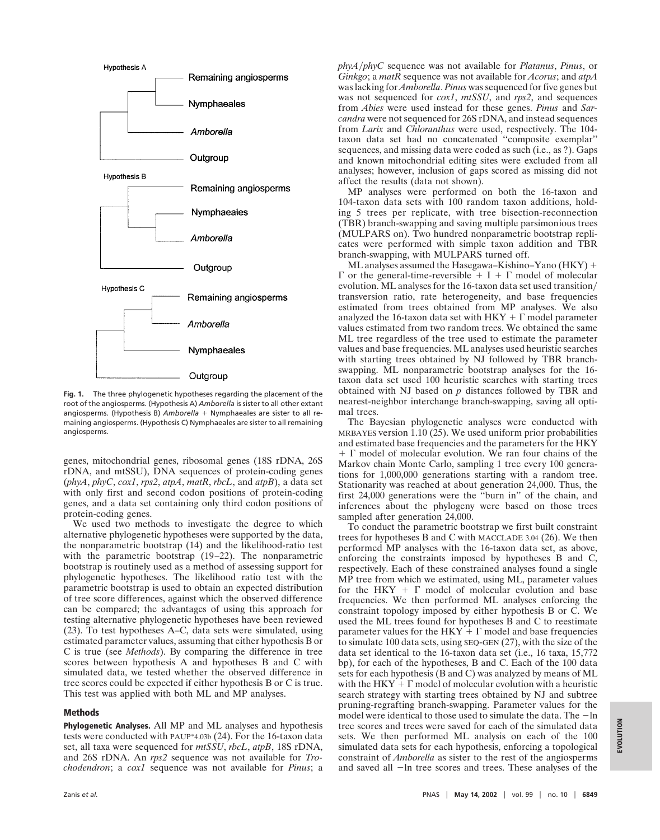

**Fig. 1.** The three phylogenetic hypotheses regarding the placement of the root of the angiosperms. (Hypothesis A) *Amborella* is sister to all other extant angiosperms. (Hypothesis B) Amborella + Nymphaeales are sister to all remaining angiosperms. (Hypothesis C) Nymphaeales are sister to all remaining angiosperms.

genes, mitochondrial genes, ribosomal genes (18S rDNA, 26S rDNA, and mtSSU), DNA sequences of protein-coding genes (*phyA*, *phyC*, *cox1*, *rps2*, *atpA*, *matR*, *rbcL*, and *atpB*), a data set with only first and second codon positions of protein-coding genes, and a data set containing only third codon positions of protein-coding genes.

We used two methods to investigate the degree to which alternative phylogenetic hypotheses were supported by the data, the nonparametric bootstrap (14) and the likelihood-ratio test with the parametric bootstrap (19–22). The nonparametric bootstrap is routinely used as a method of assessing support for phylogenetic hypotheses. The likelihood ratio test with the parametric bootstrap is used to obtain an expected distribution of tree score differences, against which the observed difference can be compared; the advantages of using this approach for testing alternative phylogenetic hypotheses have been reviewed (23). To test hypotheses A–C, data sets were simulated, using estimated parameter values, assuming that either hypothesis B or C is true (see *Methods*). By comparing the difference in tree scores between hypothesis A and hypotheses B and C with simulated data, we tested whether the observed difference in tree scores could be expected if either hypothesis B or C is true. This test was applied with both ML and MP analyses.

## **Methods**

**Phylogenetic Analyses.** All MP and ML analyses and hypothesis tests were conducted with PAUP\*4.03b (24). For the 16-taxon data set, all taxa were sequenced for *mtSSU*, *rbcL*, *atpB*, 18S rDNA, and 26S rDNA. An *rps2* sequence was not available for *Trochodendron*; a *cox1* sequence was not available for *Pinus*; a *phyAphyC* sequence was not available for *Platanus*, *Pinus*, or *Ginkgo*; a *matR* sequence was not available for *Acorus*; and *atpA* was lacking for *Amborella*. *Pinus* was sequenced for five genes but was not sequenced for *cox1*, *mtSSU*, and *rps2*, and sequences from *Abies* were used instead for these genes. *Pinus* and *Sarcandra* were not sequenced for 26S rDNA, and instead sequences from *Larix* and *Chloranthus* were used, respectively. The 104 taxon data set had no concatenated ''composite exemplar'' sequences, and missing data were coded as such (i.e., as ?). Gaps and known mitochondrial editing sites were excluded from all analyses; however, inclusion of gaps scored as missing did not affect the results (data not shown).

MP analyses were performed on both the 16-taxon and 104-taxon data sets with 100 random taxon additions, holding 5 trees per replicate, with tree bisection-reconnection (TBR) branch-swapping and saving multiple parsimonious trees (MULPARS on). Two hundred nonparametric bootstrap replicates were performed with simple taxon addition and TBR branch-swapping, with MULPARS turned off.

ML analyses assumed the Hasegawa–Kishino–Yano  $(HKY)$  +  $\Gamma$  or the general-time-reversible + I +  $\Gamma$  model of molecular evolution. ML analyses for the 16-taxon data set used transition transversion ratio, rate heterogeneity, and base frequencies estimated from trees obtained from MP analyses. We also analyzed the 16-taxon data set with  $HKY + \Gamma$  model parameter values estimated from two random trees. We obtained the same ML tree regardless of the tree used to estimate the parameter values and base frequencies. ML analyses used heuristic searches with starting trees obtained by NJ followed by TBR branchswapping. ML nonparametric bootstrap analyses for the 16 taxon data set used 100 heuristic searches with starting trees obtained with NJ based on *p* distances followed by TBR and nearest-neighbor interchange branch-swapping, saving all optimal trees.

The Bayesian phylogenetic analyses were conducted with MRBAYES version 1.10 (25). We used uniform prior probabilities and estimated base frequencies and the parameters for the HKY  $+ \Gamma$  model of molecular evolution. We ran four chains of the Markov chain Monte Carlo, sampling 1 tree every 100 generations for 1,000,000 generations starting with a random tree. Stationarity was reached at about generation 24,000. Thus, the first 24,000 generations were the ''burn in'' of the chain, and inferences about the phylogeny were based on those trees sampled after generation 24,000.

To conduct the parametric bootstrap we first built constraint trees for hypotheses B and C with MACCLADE 3.04 (26). We then performed MP analyses with the 16-taxon data set, as above, enforcing the constraints imposed by hypotheses B and C, respectively. Each of these constrained analyses found a single MP tree from which we estimated, using ML, parameter values for the  $HKY + \Gamma$  model of molecular evolution and base frequencies. We then performed ML analyses enforcing the constraint topology imposed by either hypothesis B or C. We used the ML trees found for hypotheses B and C to reestimate parameter values for the  $HKY + \Gamma$  model and base frequencies to simulate 100 data sets, using SEQ-GEN (27), with the size of the data set identical to the 16-taxon data set (i.e., 16 taxa, 15,772 bp), for each of the hypotheses, B and C. Each of the 100 data sets for each hypothesis (B and C) was analyzed by means of ML with the  $HKY + \Gamma$  model of molecular evolution with a heuristic search strategy with starting trees obtained by NJ and subtree pruning-regrafting branch-swapping. Parameter values for the model were identical to those used to simulate the data. The  $-\ln$ tree scores and trees were saved for each of the simulated data sets. We then performed ML analysis on each of the 100 simulated data sets for each hypothesis, enforcing a topological constraint of *Amborella* as sister to the rest of the angiosperms and saved all  $-\ln$  tree scores and trees. These analyses of the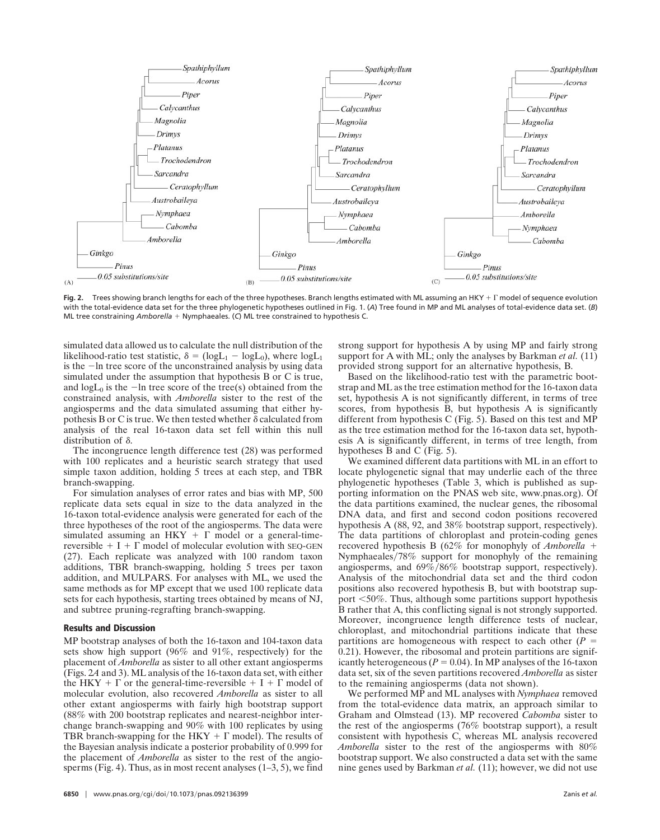

**Fig. 2.** Trees showing branch lengths for each of the three hypotheses. Branch lengths estimated with ML assuming an HKY +  $\Gamma$  model of sequence evolution with the total-evidence data set for the three phylogenetic hypotheses outlined in Fig. 1. (*A*) Tree found in MP and ML analyses of total-evidence data set. (*B*) ML tree constraining *Amborella* + Nymphaeales. (C) ML tree constrained to hypothesis C.

simulated data allowed us to calculate the null distribution of the likelihood-ratio test statistic,  $\delta = (logL_1 - logL_0)$ , where  $logL_1$ is the  $-\ln$  tree score of the unconstrained analysis by using data simulated under the assumption that hypothesis B or C is true, and  $log L_0$  is the  $-\ln$  tree score of the tree(s) obtained from the constrained analysis, with *Amborella* sister to the rest of the angiosperms and the data simulated assuming that either hypothesis B or C is true. We then tested whether  $\delta$  calculated from analysis of the real 16-taxon data set fell within this null distribution of  $\delta$ .

The incongruence length difference test (28) was performed with 100 replicates and a heuristic search strategy that used simple taxon addition, holding 5 trees at each step, and TBR branch-swapping.

For simulation analyses of error rates and bias with MP, 500 replicate data sets equal in size to the data analyzed in the 16-taxon total-evidence analysis were generated for each of the three hypotheses of the root of the angiosperms. The data were simulated assuming an HKY  $+ \Gamma$  model or a general-timereversible  $+ I + \Gamma$  model of molecular evolution with SEQ-GEN (27). Each replicate was analyzed with 100 random taxon additions, TBR branch-swapping, holding 5 trees per taxon addition, and MULPARS. For analyses with ML, we used the same methods as for MP except that we used 100 replicate data sets for each hypothesis, starting trees obtained by means of NJ, and subtree pruning-regrafting branch-swapping.

## **Results and Discussion**

MP bootstrap analyses of both the 16-taxon and 104-taxon data sets show high support (96% and 91%, respectively) for the placement of *Amborella* as sister to all other extant angiosperms (Figs. 2*A* and 3). ML analysis of the 16-taxon data set, with either the HKY +  $\Gamma$  or the general-time-reversible + I +  $\Gamma$  model of molecular evolution, also recovered *Amborella* as sister to all other extant angiosperms with fairly high bootstrap support (88% with 200 bootstrap replicates and nearest-neighbor interchange branch-swapping and 90% with 100 replicates by using TBR branch-swapping for the  $HKY + \Gamma$  model). The results of the Bayesian analysis indicate a posterior probability of 0.999 for the placement of *Amborella* as sister to the rest of the angiosperms (Fig. 4). Thus, as in most recent analyses  $(1-3, 5)$ , we find strong support for hypothesis A by using MP and fairly strong support for A with ML; only the analyses by Barkman *et al.* (11) provided strong support for an alternative hypothesis, B.

Based on the likelihood-ratio test with the parametric bootstrap and ML as the tree estimation method for the 16-taxon data set, hypothesis A is not significantly different, in terms of tree scores, from hypothesis B, but hypothesis A is significantly different from hypothesis C (Fig. 5). Based on this test and MP as the tree estimation method for the 16-taxon data set, hypothesis A is significantly different, in terms of tree length, from hypotheses B and C (Fig. 5).

We examined different data partitions with ML in an effort to locate phylogenetic signal that may underlie each of the three phylogenetic hypotheses (Table 3, which is published as supporting information on the PNAS web site, www.pnas.org). Of the data partitions examined, the nuclear genes, the ribosomal DNA data, and first and second codon positions recovered hypothesis A (88, 92, and 38% bootstrap support, respectively). The data partitions of chloroplast and protein-coding genes recovered hypothesis B (62% for monophyly of *Amborella* Nymphaeales/78% support for monophyly of the remaining angiosperms, and  $69\%/86\%$  bootstrap support, respectively). Analysis of the mitochondrial data set and the third codon positions also recovered hypothesis B, but with bootstrap support  $\leq 50\%$ . Thus, although some partitions support hypothesis B rather that A, this conflicting signal is not strongly supported. Moreover, incongruence length difference tests of nuclear, chloroplast, and mitochondrial partitions indicate that these partitions are homogeneous with respect to each other  $(P =$ 0.21). However, the ribosomal and protein partitions are significantly heterogeneous ( $P = 0.04$ ). In MP analyses of the 16-taxon data set, six of the seven partitions recovered *Amborella* as sister to the remaining angiosperms (data not shown).

We performed MP and ML analyses with *Nymphaea* removed from the total-evidence data matrix, an approach similar to Graham and Olmstead (13). MP recovered *Cabomba* sister to the rest of the angiosperms (76% bootstrap support), a result consistent with hypothesis C, whereas ML analysis recovered *Amborella* sister to the rest of the angiosperms with 80% bootstrap support. We also constructed a data set with the same nine genes used by Barkman *et al.* (11); however, we did not use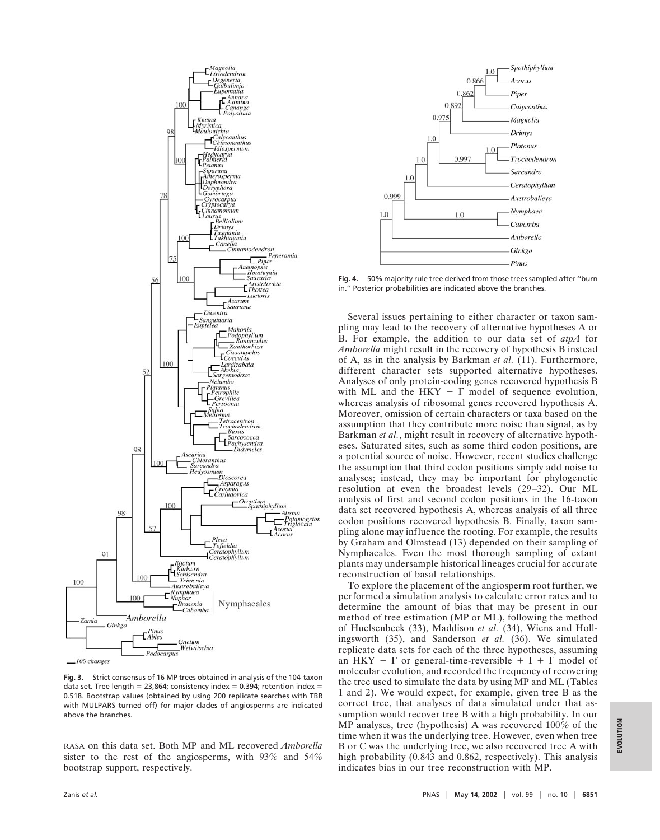

**Fig. 3.** Strict consensus of 16 MP trees obtained in analysis of the 104-taxon data set. Tree length = 23,864; consistency index = 0.394; retention index = 0.518. Bootstrap values (obtained by using 200 replicate searches with TBR with MULPARS turned off) for major clades of angiosperms are indicated above the branches.

RASA on this data set. Both MP and ML recovered *Amborella* sister to the rest of the angiosperms, with 93% and 54% bootstrap support, respectively.



**Fig. 4.** 50% majority rule tree derived from those trees sampled after ''burn in.'' Posterior probabilities are indicated above the branches.

Several issues pertaining to either character or taxon sampling may lead to the recovery of alternative hypotheses A or B. For example, the addition to our data set of *atpA* for *Amborella* might result in the recovery of hypothesis B instead of A, as in the analysis by Barkman *et al.* (11). Furthermore, different character sets supported alternative hypotheses. Analyses of only protein-coding genes recovered hypothesis B with ML and the HKY  $+ \Gamma$  model of sequence evolution, whereas analysis of ribosomal genes recovered hypothesis A. Moreover, omission of certain characters or taxa based on the assumption that they contribute more noise than signal, as by Barkman *et al.*, might result in recovery of alternative hypotheses. Saturated sites, such as some third codon positions, are a potential source of noise. However, recent studies challenge the assumption that third codon positions simply add noise to analyses; instead, they may be important for phylogenetic resolution at even the broadest levels (29–32). Our ML analysis of first and second codon positions in the 16-taxon data set recovered hypothesis A, whereas analysis of all three codon positions recovered hypothesis B. Finally, taxon sampling alone may influence the rooting. For example, the results by Graham and Olmstead (13) depended on their sampling of Nymphaeales. Even the most thorough sampling of extant plants may undersample historical lineages crucial for accurate reconstruction of basal relationships.

To explore the placement of the angiosperm root further, we performed a simulation analysis to calculate error rates and to determine the amount of bias that may be present in our method of tree estimation (MP or ML), following the method of Huelsenbeck (33), Maddison *et al.* (34), Wiens and Hollingsworth (35), and Sanderson *et al.* (36). We simulated replicate data sets for each of the three hypotheses, assuming an HKY +  $\Gamma$  or general-time-reversible + I +  $\Gamma$  model of molecular evolution, and recorded the frequency of recovering the tree used to simulate the data by using MP and ML (Tables 1 and 2). We would expect, for example, given tree B as the correct tree, that analyses of data simulated under that assumption would recover tree B with a high probability. In our MP analyses, tree (hypothesis) A was recovered 100% of the time when it was the underlying tree. However, even when tree B or C was the underlying tree, we also recovered tree A with high probability (0.843 and 0.862, respectively). This analysis indicates bias in our tree reconstruction with MP.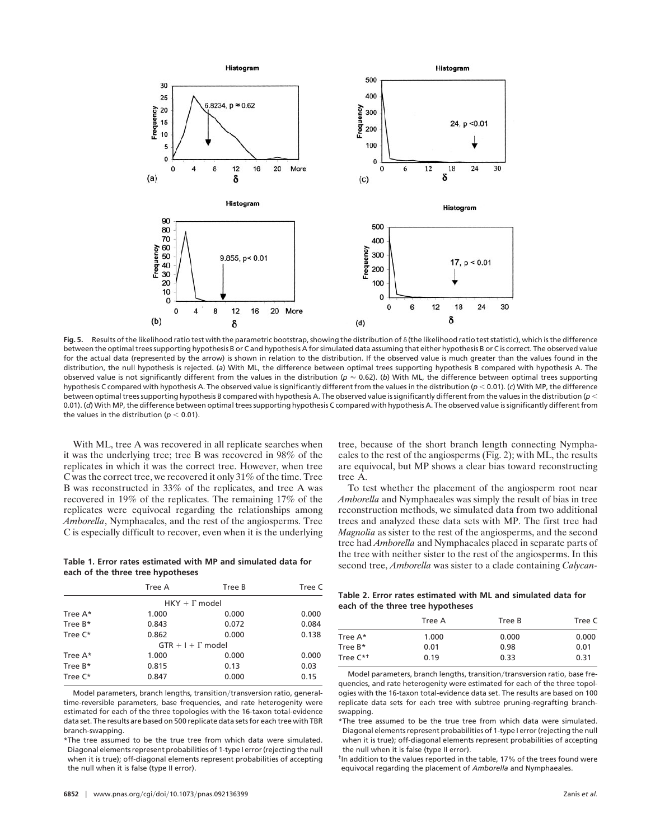

Fig. 5. Results of the likelihood ratio test with the parametric bootstrap, showing the distribution of  $\delta$  (the likelihood ratio test statistic), which is the difference between the optimal trees supporting hypothesis B or C and hypothesis A for simulated data assuming that either hypothesis B or C is correct. The observed value for the actual data (represented by the arrow) is shown in relation to the distribution. If the observed value is much greater than the values found in the distribution, the null hypothesis is rejected. (*a*) With ML, the difference between optimal trees supporting hypothesis B compared with hypothesis A. The observed value is not significantly different from the values in the distribution ( $p \approx 0.62$ ). (*b*) With ML, the difference between optimal trees supporting hypothesis C compared with hypothesis A. The observed value is significantly different from the values in the distribution (*p* 0.01). (*c*) With MP, the difference between optimal trees supporting hypothesis B compared with hypothesis A. The observed value is significantly different from the values in the distribution ( $\rho$  < 0.01). (d) With MP, the difference between optimal trees supporting hypothesis C compared with hypothesis A. The observed value is significantly different from the values in the distribution ( $p < 0.01$ ).

With ML, tree A was recovered in all replicate searches when it was the underlying tree; tree B was recovered in 98% of the replicates in which it was the correct tree. However, when tree C was the correct tree, we recovered it only 31% of the time. Tree B was reconstructed in 33% of the replicates, and tree A was recovered in 19% of the replicates. The remaining 17% of the replicates were equivocal regarding the relationships among *Amborella*, Nymphaeales, and the rest of the angiosperms. Tree C is especially difficult to recover, even when it is the underlying

## **Table 1. Error rates estimated with MP and simulated data for each of the three tree hypotheses**

|            | Tree A                   | Tree B | Tree C |
|------------|--------------------------|--------|--------|
|            | $HKY + \Gamma$ model     |        |        |
| Tree A*    | 1.000                    | 0.000  | 0.000  |
| Tree $B^*$ | 0.843                    | 0.072  | 0.084  |
| Tree C*    | 0.862                    | 0.000  | 0.138  |
|            | $GTR + I + \Gamma$ model |        |        |
| Tree A*    | 1.000                    | 0.000  | 0.000  |
| Tree $B^*$ | 0.815                    | 0.13   | 0.03   |
| Tree C*    | 0.847                    | 0.000  | 0.15   |

Model parameters, branch lengths, transition/transversion ratio, generaltime-reversible parameters, base frequencies, and rate heterogenity were estimated for each of the three topologies with the 16-taxon total-evidence data set. The results are based on 500 replicate data sets for each tree with TBR branch-swapping.

\*The tree assumed to be the true tree from which data were simulated. Diagonal elements represent probabilities of 1-type I error (rejecting the null when it is true); off-diagonal elements represent probabilities of accepting the null when it is false (type II error).

tree, because of the short branch length connecting Nymphaeales to the rest of the angiosperms (Fig. 2); with ML, the results are equivocal, but MP shows a clear bias toward reconstructing tree A.

To test whether the placement of the angiosperm root near *Amborella* and Nymphaeales was simply the result of bias in tree reconstruction methods, we simulated data from two additional trees and analyzed these data sets with MP. The first tree had *Magnolia* as sister to the rest of the angiosperms, and the second tree had *Amborella* and Nymphaeales placed in separate parts of the tree with neither sister to the rest of the angiosperms. In this second tree, *Amborella* was sister to a clade containing *Calycan-*

**Table 2. Error rates estimated with ML and simulated data for each of the three tree hypotheses**

|                      | Tree A | Tree B | Tree C |
|----------------------|--------|--------|--------|
| Tree $A^*$           | 1.000  | 0.000  | 0.000  |
| Tree $B^*$           | 0.01   | 0.98   | 0.01   |
| Tree C <sup>*+</sup> | 0.19   | 0.33   | 0.31   |

Model parameters, branch lengths, transition/transversion ratio, base frequencies, and rate heterogenity were estimated for each of the three topologies with the 16-taxon total-evidence data set. The results are based on 100 replicate data sets for each tree with subtree pruning-regrafting branchswapping.

\*The tree assumed to be the true tree from which data were simulated. Diagonal elements represent probabilities of 1-type I error (rejecting the null when it is true); off-diagonal elements represent probabilities of accepting the null when it is false (type II error).

†In addition to the values reported in the table, 17% of the trees found were equivocal regarding the placement of *Amborella* and Nymphaeales.